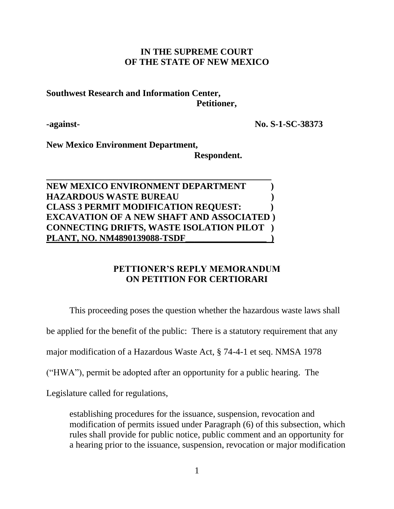### **IN THE SUPREME COURT OF THE STATE OF NEW MEXICO**

### **Southwest Research and Information Center, Petitioner,**

**-against- No. S-1-SC-38373**

**New Mexico Environment Department,**

 **Respondent.**

## **NEW MEXICO ENVIRONMENT DEPARTMENT ) HAZARDOUS WASTE BUREAU ) CLASS 3 PERMIT MODIFICATION REQUEST: ) EXCAVATION OF A NEW SHAFT AND ASSOCIATED ) CONNECTING DRIFTS, WASTE ISOLATION PILOT ) PLANT, NO. NM4890139088-TSDF\_\_\_\_\_\_\_\_\_\_\_\_\_\_\_\_\_\_ )**

\_\_\_\_\_\_\_\_\_\_\_\_\_\_\_\_\_\_\_\_\_\_\_\_\_\_\_\_\_\_\_\_\_\_\_\_\_\_\_\_\_\_\_\_\_\_\_\_\_\_

# **PETTIONER'S REPLY MEMORANDUM ON PETITION FOR CERTIORARI**

This proceeding poses the question whether the hazardous waste laws shall

be applied for the benefit of the public: There is a statutory requirement that any

major modification of a Hazardous Waste Act, § 74-4-1 et seq. NMSA 1978

("HWA"), permit be adopted after an opportunity for a public hearing. The

Legislature called for regulations,

establishing procedures for the issuance, suspension, revocation and modification of permits issued under Paragraph (6) of this subsection, which rules shall provide for public notice, public comment and an opportunity for a hearing prior to the issuance, suspension, revocation or major modification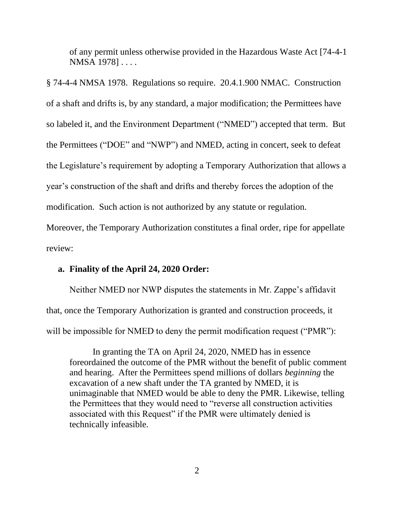of any permit unless otherwise provided in the Hazardous Waste Act [74-4-1 NMSA 1978] . . . .

§ 74-4-4 NMSA 1978. Regulations so require. 20.4.1.900 NMAC. Construction of a shaft and drifts is, by any standard, a major modification; the Permittees have so labeled it, and the Environment Department ("NMED") accepted that term. But the Permittees ("DOE" and "NWP") and NMED, acting in concert, seek to defeat the Legislature's requirement by adopting a Temporary Authorization that allows a year's construction of the shaft and drifts and thereby forces the adoption of the modification. Such action is not authorized by any statute or regulation.

Moreover, the Temporary Authorization constitutes a final order, ripe for appellate review:

#### **a. Finality of the April 24, 2020 Order:**

Neither NMED nor NWP disputes the statements in Mr. Zappe's affidavit that, once the Temporary Authorization is granted and construction proceeds, it will be impossible for NMED to deny the permit modification request ("PMR"):

In granting the TA on April 24, 2020, NMED has in essence foreordained the outcome of the PMR without the benefit of public comment and hearing. After the Permittees spend millions of dollars *beginning* the excavation of a new shaft under the TA granted by NMED, it is unimaginable that NMED would be able to deny the PMR. Likewise, telling the Permittees that they would need to "reverse all construction activities associated with this Request" if the PMR were ultimately denied is technically infeasible.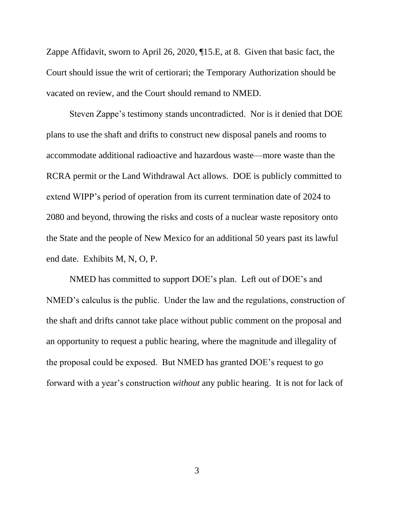Zappe Affidavit, sworn to April 26, 2020, ¶15.E, at 8. Given that basic fact, the Court should issue the writ of certiorari; the Temporary Authorization should be vacated on review, and the Court should remand to NMED.

Steven Zappe's testimony stands uncontradicted. Nor is it denied that DOE plans to use the shaft and drifts to construct new disposal panels and rooms to accommodate additional radioactive and hazardous waste—more waste than the RCRA permit or the Land Withdrawal Act allows. DOE is publicly committed to extend WIPP's period of operation from its current termination date of 2024 to 2080 and beyond, throwing the risks and costs of a nuclear waste repository onto the State and the people of New Mexico for an additional 50 years past its lawful end date. Exhibits M, N, O, P.

NMED has committed to support DOE's plan. Left out of DOE's and NMED's calculus is the public. Under the law and the regulations, construction of the shaft and drifts cannot take place without public comment on the proposal and an opportunity to request a public hearing, where the magnitude and illegality of the proposal could be exposed. But NMED has granted DOE's request to go forward with a year's construction *without* any public hearing. It is not for lack of

3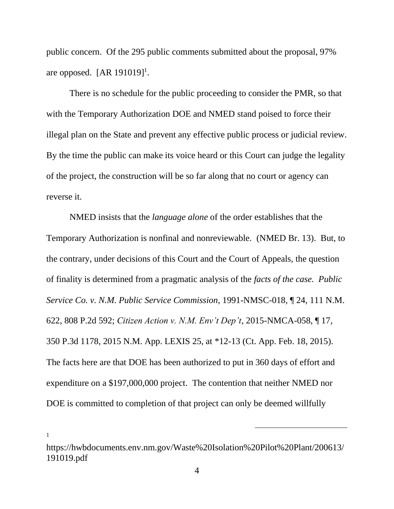public concern. Of the 295 public comments submitted about the proposal, 97% are opposed.  $[AR 191019]$ <sup>1</sup>.

There is no schedule for the public proceeding to consider the PMR, so that with the Temporary Authorization DOE and NMED stand poised to force their illegal plan on the State and prevent any effective public process or judicial review. By the time the public can make its voice heard or this Court can judge the legality of the project, the construction will be so far along that no court or agency can reverse it.

NMED insists that the *language alone* of the order establishes that the Temporary Authorization is nonfinal and nonreviewable. (NMED Br. 13). But, to the contrary, under decisions of this Court and the Court of Appeals, the question of finality is determined from a pragmatic analysis of the *facts of the case. Public Service Co. v. N.M. Public Service Commission*, 1991-NMSC-018, ¶ 24, 111 N.M. 622, 808 P.2d 592; *Citizen Action v. N.M. Env't Dep't*, 2015-NMCA-058, ¶ 17, 350 P.3d 1178, 2015 N.M. App. LEXIS 25, at \*12-13 (Ct. App. Feb. 18, 2015). The facts here are that DOE has been authorized to put in 360 days of effort and expenditure on a \$197,000,000 project. The contention that neither NMED nor DOE is committed to completion of that project can only be deemed willfully

<sup>1</sup>

https://hwbdocuments.env.nm.gov/Waste%20Isolation%20Pilot%20Plant/200613/ 191019.pdf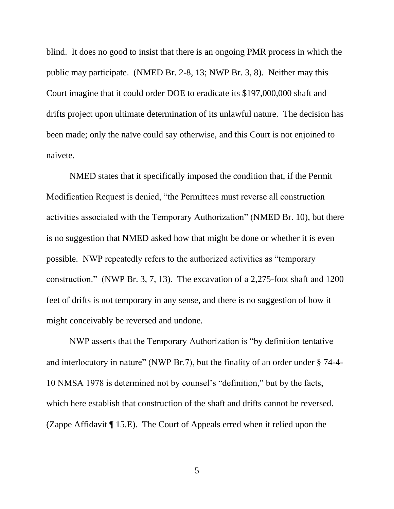blind. It does no good to insist that there is an ongoing PMR process in which the public may participate. (NMED Br. 2-8, 13; NWP Br. 3, 8). Neither may this Court imagine that it could order DOE to eradicate its \$197,000,000 shaft and drifts project upon ultimate determination of its unlawful nature. The decision has been made; only the naïve could say otherwise, and this Court is not enjoined to naivete.

NMED states that it specifically imposed the condition that, if the Permit Modification Request is denied, "the Permittees must reverse all construction activities associated with the Temporary Authorization" (NMED Br. 10), but there is no suggestion that NMED asked how that might be done or whether it is even possible. NWP repeatedly refers to the authorized activities as "temporary construction." (NWP Br. 3, 7, 13). The excavation of a 2,275-foot shaft and 1200 feet of drifts is not temporary in any sense, and there is no suggestion of how it might conceivably be reversed and undone.

NWP asserts that the Temporary Authorization is "by definition tentative and interlocutory in nature" (NWP Br.7), but the finality of an order under § 74-4- 10 NMSA 1978 is determined not by counsel's "definition," but by the facts, which here establish that construction of the shaft and drifts cannot be reversed. (Zappe Affidavit ¶ 15.E). The Court of Appeals erred when it relied upon the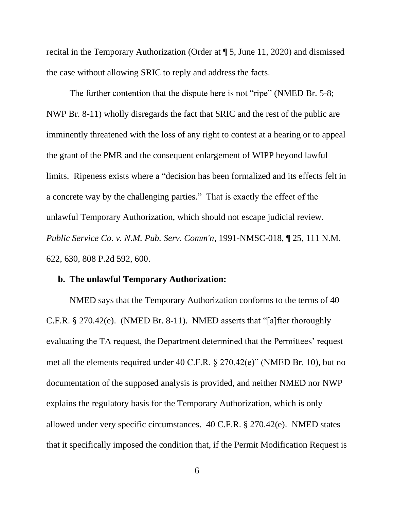recital in the Temporary Authorization (Order at ¶ 5, June 11, 2020) and dismissed the case without allowing SRIC to reply and address the facts.

The further contention that the dispute here is not "ripe" (NMED Br. 5-8; NWP Br. 8-11) wholly disregards the fact that SRIC and the rest of the public are imminently threatened with the loss of any right to contest at a hearing or to appeal the grant of the PMR and the consequent enlargement of WIPP beyond lawful limits. Ripeness exists where a "decision has been formalized and its effects felt in a concrete way by the challenging parties." That is exactly the effect of the unlawful Temporary Authorization, which should not escape judicial review. *Public Service Co. v. N.M. Pub. Serv. Comm'n*[, 1991-NMSC-018, ¶ 25, 111 N.M.](https://advance.lexis.com/api/document/collection/cases/id/3S3J-W3M0-003D-D363-00000-00?page=630&reporter=3310&cite=111%20N.M.%20622&context=1000516)  [622, 630, 808 P.2d 592, 600.](https://advance.lexis.com/api/document/collection/cases/id/3S3J-W3M0-003D-D363-00000-00?page=630&reporter=3310&cite=111%20N.M.%20622&context=1000516) 

#### **b. The unlawful Temporary Authorization:**

NMED says that the Temporary Authorization conforms to the terms of 40 C.F.R. § 270.42(e). (NMED Br. 8-11). NMED asserts that "[a]fter thoroughly evaluating the TA request, the Department determined that the Permittees' request met all the elements required under 40 C.F.R. § 270.42(e)" (NMED Br. 10), but no documentation of the supposed analysis is provided, and neither NMED nor NWP explains the regulatory basis for the Temporary Authorization, which is only allowed under very specific circumstances. 40 C.F.R. § 270.42(e). NMED states that it specifically imposed the condition that, if the Permit Modification Request is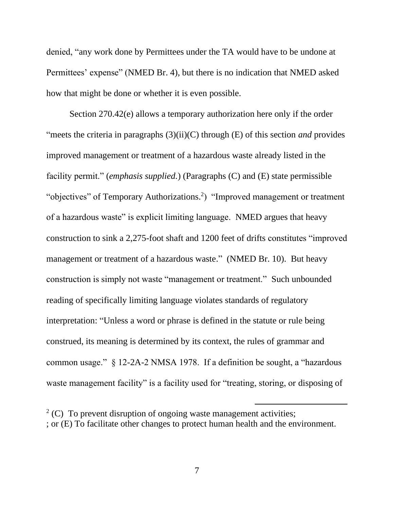denied, "any work done by Permittees under the TA would have to be undone at Permittees' expense" (NMED Br. 4), but there is no indication that NMED asked how that might be done or whether it is even possible.

Section 270.42(e) allows a temporary authorization here only if the order "meets the criteria in paragraphs (3)(ii)(C) through (E) of this section *and* provides improved management or treatment of a hazardous waste already listed in the facility permit." (*emphasis supplied.*) (Paragraphs (C) and (E) state permissible "objectives" of Temporary Authorizations.<sup>2</sup>) "Improved management or treatment of a hazardous waste" is explicit limiting language. NMED argues that heavy construction to sink a 2,275-foot shaft and 1200 feet of drifts constitutes "improved management or treatment of a hazardous waste." (NMED Br. 10). But heavy construction is simply not waste "management or treatment." Such unbounded reading of specifically limiting language violates standards of regulatory interpretation: "Unless a word or phrase is defined in the statute or rule being construed, its meaning is determined by its context, the rules of grammar and common usage." § 12-2A-2 NMSA 1978. If a definition be sought, a "hazardous waste management facility" is a facility used for "treating, storing, or disposing of

 $2^2$  (C) To prevent disruption of ongoing waste management activities; ; or (E) To facilitate other changes to protect human health and the environment.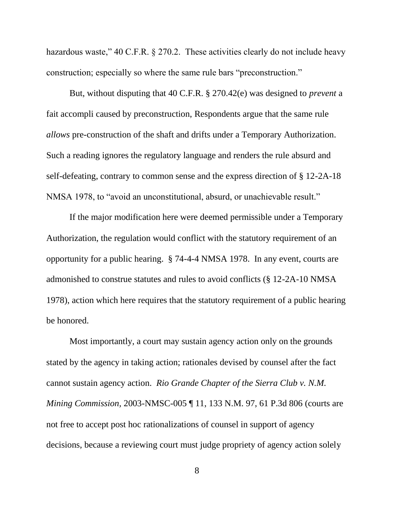hazardous waste," 40 C.F.R. § 270.2. These activities clearly do not include heavy construction; especially so where the same rule bars "preconstruction."

But, without disputing that 40 C.F.R. § 270.42(e) was designed to *prevent* a fait accompli caused by preconstruction, Respondents argue that the same rule *allows* pre-construction of the shaft and drifts under a Temporary Authorization. Such a reading ignores the regulatory language and renders the rule absurd and self-defeating, contrary to common sense and the express direction of § 12-2A-18 NMSA 1978, to "avoid an unconstitutional, absurd, or unachievable result."

If the major modification here were deemed permissible under a Temporary Authorization, the regulation would conflict with the statutory requirement of an opportunity for a public hearing. § 74-4-4 NMSA 1978. In any event, courts are admonished to construe statutes and rules to avoid conflicts (§ 12-2A-10 NMSA 1978), action which here requires that the statutory requirement of a public hearing be honored.

Most importantly, a court may sustain agency action only on the grounds stated by the agency in taking action; rationales devised by counsel after the fact cannot sustain agency action. *Rio Grande Chapter of the Sierra Club v. N.M. Mining Commission,* 2003-NMSC-005 ¶ 11, 133 N.M. 97, 61 P.3d 806 (courts are not free to accept post hoc rationalizations of counsel in support of agency decisions, because a reviewing court must judge propriety of agency action solely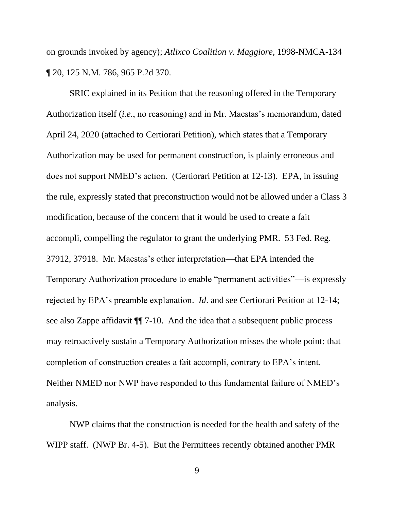on grounds invoked by agency); *Atlixco Coalition v. Maggiore,* 1998-NMCA-134 ¶ 20, 125 N.M. 786, 965 P.2d 370.

SRIC explained in its Petition that the reasoning offered in the Temporary Authorization itself (*i.e.*, no reasoning) and in Mr. Maestas's memorandum, dated April 24, 2020 (attached to Certiorari Petition), which states that a Temporary Authorization may be used for permanent construction, is plainly erroneous and does not support NMED's action. (Certiorari Petition at 12-13). EPA, in issuing the rule, expressly stated that preconstruction would not be allowed under a Class 3 modification, because of the concern that it would be used to create a fait accompli, compelling the regulator to grant the underlying PMR. 53 Fed. Reg. 37912, 37918. Mr. Maestas's other interpretation—that EPA intended the Temporary Authorization procedure to enable "permanent activities"—is expressly rejected by EPA's preamble explanation. *Id*. and see Certiorari Petition at 12-14; see also Zappe affidavit ¶¶ 7-10. And the idea that a subsequent public process may retroactively sustain a Temporary Authorization misses the whole point: that completion of construction creates a fait accompli, contrary to EPA's intent. Neither NMED nor NWP have responded to this fundamental failure of NMED's analysis.

NWP claims that the construction is needed for the health and safety of the WIPP staff. (NWP Br. 4-5). But the Permittees recently obtained another PMR

9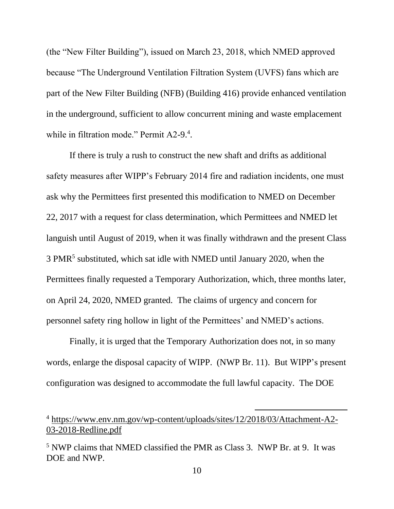(the "New Filter Building"), issued on March 23, 2018, which NMED approved because "The Underground Ventilation Filtration System (UVFS) fans which are part of the New Filter Building (NFB) (Building 416) provide enhanced ventilation in the underground, sufficient to allow concurrent mining and waste emplacement while in filtration mode." Permit A2-9.<sup>4</sup>.

If there is truly a rush to construct the new shaft and drifts as additional safety measures after WIPP's February 2014 fire and radiation incidents, one must ask why the Permittees first presented this modification to NMED on December 22, 2017 with a request for class determination, which Permittees and NMED let languish until August of 2019, when it was finally withdrawn and the present Class 3 PMR<sup>5</sup> substituted, which sat idle with NMED until January 2020, when the Permittees finally requested a Temporary Authorization, which, three months later, on April 24, 2020, NMED granted. The claims of urgency and concern for personnel safety ring hollow in light of the Permittees' and NMED's actions.

Finally, it is urged that the Temporary Authorization does not, in so many words, enlarge the disposal capacity of WIPP. (NWP Br. 11). But WIPP's present configuration was designed to accommodate the full lawful capacity. The DOE

<sup>4</sup> [https://www.env.nm.gov/wp-content/uploads/sites/12/2018/03/Attachment-A2-](https://www.env.nm.gov/wp-content/uploads/sites/12/2018/03/Attachment-A2-03-2018-Redline.pdf) [03-2018-Redline.pdf](https://www.env.nm.gov/wp-content/uploads/sites/12/2018/03/Attachment-A2-03-2018-Redline.pdf)

<sup>5</sup> NWP claims that NMED classified the PMR as Class 3. NWP Br. at 9. It was DOE and NWP.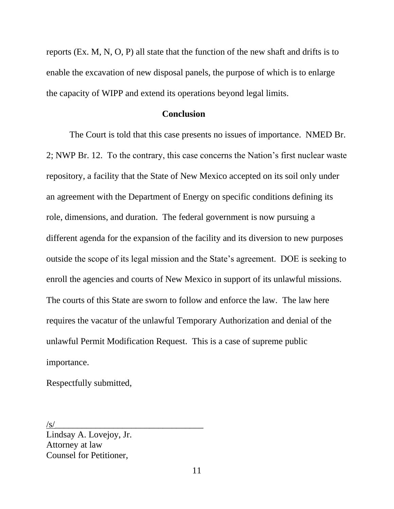reports (Ex. M, N, O, P) all state that the function of the new shaft and drifts is to enable the excavation of new disposal panels, the purpose of which is to enlarge the capacity of WIPP and extend its operations beyond legal limits.

### **Conclusion**

The Court is told that this case presents no issues of importance. NMED Br. 2; NWP Br. 12. To the contrary, this case concerns the Nation's first nuclear waste repository, a facility that the State of New Mexico accepted on its soil only under an agreement with the Department of Energy on specific conditions defining its role, dimensions, and duration. The federal government is now pursuing a different agenda for the expansion of the facility and its diversion to new purposes outside the scope of its legal mission and the State's agreement. DOE is seeking to enroll the agencies and courts of New Mexico in support of its unlawful missions. The courts of this State are sworn to follow and enforce the law. The law here requires the vacatur of the unlawful Temporary Authorization and denial of the unlawful Permit Modification Request. This is a case of supreme public importance.

Respectfully submitted,

 $\sqrt{s}$ /

Lindsay A. Lovejoy, Jr. Attorney at law Counsel for Petitioner,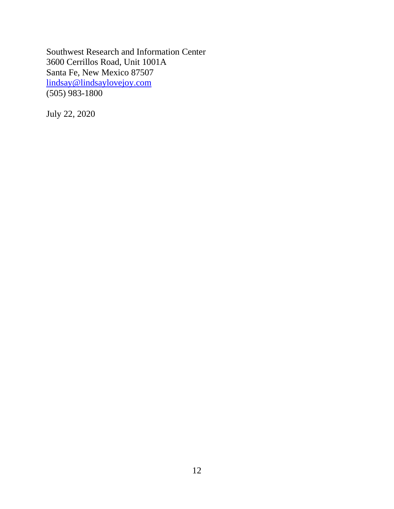Southwest Research and Information Center 3600 Cerrillos Road, Unit 1001A Santa Fe, New Mexico 87507 [lindsay@lindsaylovejoy.com](mailto:lindsay@lindsaylovejoy.com) (505) 983-1800

July 22, 2020